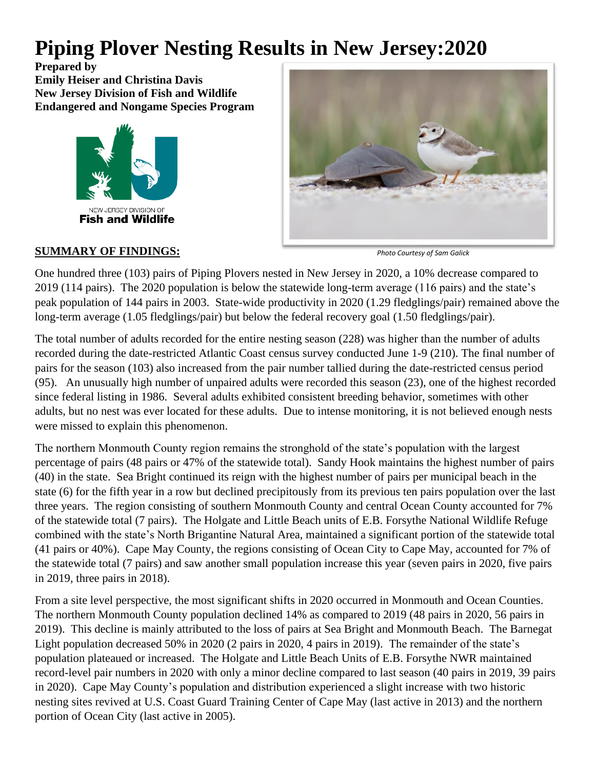# **Piping Plover Nesting Results in New Jersey:2020**

**Prepared by Emily Heiser and Christina Davis New Jersey Division of Fish and Wildlife Endangered and Nongame Species Program**





## **SUMMARY OF FINDINGS:**

*Photo Courtesy of Sam Galick*

One hundred three (103) pairs of Piping Plovers nested in New Jersey in 2020, a 10% decrease compared to 2019 (114 pairs). The 2020 population is below the statewide long-term average (116 pairs) and the state's peak population of 144 pairs in 2003. State-wide productivity in 2020 (1.29 fledglings/pair) remained above the long-term average (1.05 fledglings/pair) but below the federal recovery goal (1.50 fledglings/pair).

The total number of adults recorded for the entire nesting season (228) was higher than the number of adults recorded during the date-restricted Atlantic Coast census survey conducted June 1-9 (210). The final number of pairs for the season (103) also increased from the pair number tallied during the date-restricted census period (95). An unusually high number of unpaired adults were recorded this season (23), one of the highest recorded since federal listing in 1986. Several adults exhibited consistent breeding behavior, sometimes with other adults, but no nest was ever located for these adults. Due to intense monitoring, it is not believed enough nests were missed to explain this phenomenon.

The northern Monmouth County region remains the stronghold of the state's population with the largest percentage of pairs (48 pairs or 47% of the statewide total). Sandy Hook maintains the highest number of pairs (40) in the state. Sea Bright continued its reign with the highest number of pairs per municipal beach in the state (6) for the fifth year in a row but declined precipitously from its previous ten pairs population over the last three years. The region consisting of southern Monmouth County and central Ocean County accounted for 7% of the statewide total (7 pairs). The Holgate and Little Beach units of E.B. Forsythe National Wildlife Refuge combined with the state's North Brigantine Natural Area, maintained a significant portion of the statewide total (41 pairs or 40%). Cape May County, the regions consisting of Ocean City to Cape May, accounted for 7% of the statewide total (7 pairs) and saw another small population increase this year (seven pairs in 2020, five pairs in 2019, three pairs in 2018).

From a site level perspective, the most significant shifts in 2020 occurred in Monmouth and Ocean Counties. The northern Monmouth County population declined 14% as compared to 2019 (48 pairs in 2020, 56 pairs in 2019). This decline is mainly attributed to the loss of pairs at Sea Bright and Monmouth Beach. The Barnegat Light population decreased 50% in 2020 (2 pairs in 2020, 4 pairs in 2019). The remainder of the state's population plateaued or increased. The Holgate and Little Beach Units of E.B. Forsythe NWR maintained record-level pair numbers in 2020 with only a minor decline compared to last season (40 pairs in 2019, 39 pairs in 2020). Cape May County's population and distribution experienced a slight increase with two historic nesting sites revived at U.S. Coast Guard Training Center of Cape May (last active in 2013) and the northern portion of Ocean City (last active in 2005).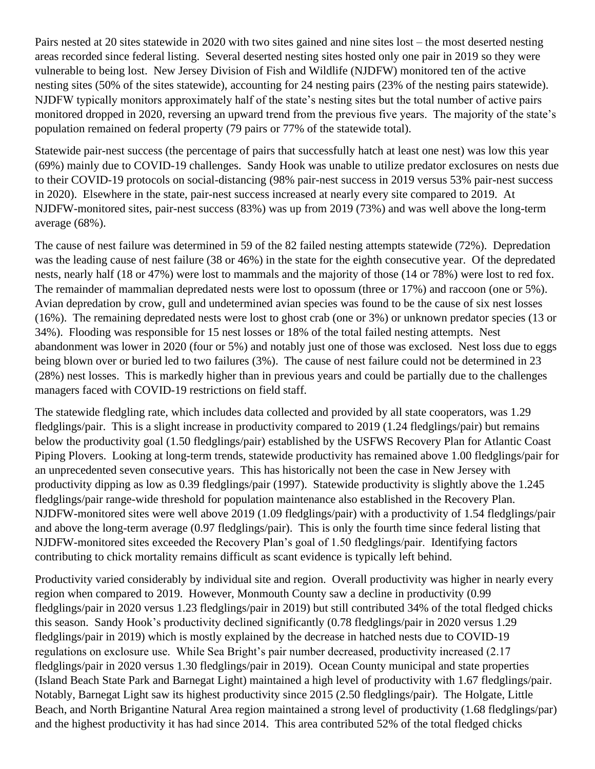Pairs nested at 20 sites statewide in 2020 with two sites gained and nine sites lost – the most deserted nesting areas recorded since federal listing. Several deserted nesting sites hosted only one pair in 2019 so they were vulnerable to being lost. New Jersey Division of Fish and Wildlife (NJDFW) monitored ten of the active nesting sites (50% of the sites statewide), accounting for 24 nesting pairs (23% of the nesting pairs statewide). NJDFW typically monitors approximately half of the state's nesting sites but the total number of active pairs monitored dropped in 2020, reversing an upward trend from the previous five years. The majority of the state's population remained on federal property (79 pairs or 77% of the statewide total).

Statewide pair-nest success (the percentage of pairs that successfully hatch at least one nest) was low this year (69%) mainly due to COVID-19 challenges. Sandy Hook was unable to utilize predator exclosures on nests due to their COVID-19 protocols on social-distancing (98% pair-nest success in 2019 versus 53% pair-nest success in 2020). Elsewhere in the state, pair-nest success increased at nearly every site compared to 2019. At NJDFW-monitored sites, pair-nest success (83%) was up from 2019 (73%) and was well above the long-term average (68%).

The cause of nest failure was determined in 59 of the 82 failed nesting attempts statewide (72%). Depredation was the leading cause of nest failure (38 or 46%) in the state for the eighth consecutive year. Of the depredated nests, nearly half (18 or 47%) were lost to mammals and the majority of those (14 or 78%) were lost to red fox. The remainder of mammalian depredated nests were lost to opossum (three or 17%) and raccoon (one or 5%). Avian depredation by crow, gull and undetermined avian species was found to be the cause of six nest losses (16%). The remaining depredated nests were lost to ghost crab (one or 3%) or unknown predator species (13 or 34%). Flooding was responsible for 15 nest losses or 18% of the total failed nesting attempts. Nest abandonment was lower in 2020 (four or 5%) and notably just one of those was exclosed. Nest loss due to eggs being blown over or buried led to two failures (3%). The cause of nest failure could not be determined in 23 (28%) nest losses. This is markedly higher than in previous years and could be partially due to the challenges managers faced with COVID-19 restrictions on field staff.

The statewide fledgling rate, which includes data collected and provided by all state cooperators, was 1.29 fledglings/pair. This is a slight increase in productivity compared to 2019 (1.24 fledglings/pair) but remains below the productivity goal (1.50 fledglings/pair) established by the USFWS Recovery Plan for Atlantic Coast Piping Plovers. Looking at long-term trends, statewide productivity has remained above 1.00 fledglings/pair for an unprecedented seven consecutive years. This has historically not been the case in New Jersey with productivity dipping as low as 0.39 fledglings/pair (1997). Statewide productivity is slightly above the 1.245 fledglings/pair range-wide threshold for population maintenance also established in the Recovery Plan. NJDFW-monitored sites were well above 2019 (1.09 fledglings/pair) with a productivity of 1.54 fledglings/pair and above the long-term average (0.97 fledglings/pair). This is only the fourth time since federal listing that NJDFW-monitored sites exceeded the Recovery Plan's goal of 1.50 fledglings/pair. Identifying factors contributing to chick mortality remains difficult as scant evidence is typically left behind.

Productivity varied considerably by individual site and region. Overall productivity was higher in nearly every region when compared to 2019. However, Monmouth County saw a decline in productivity (0.99 fledglings/pair in 2020 versus 1.23 fledglings/pair in 2019) but still contributed 34% of the total fledged chicks this season. Sandy Hook's productivity declined significantly (0.78 fledglings/pair in 2020 versus 1.29 fledglings/pair in 2019) which is mostly explained by the decrease in hatched nests due to COVID-19 regulations on exclosure use. While Sea Bright's pair number decreased, productivity increased (2.17 fledglings/pair in 2020 versus 1.30 fledglings/pair in 2019). Ocean County municipal and state properties (Island Beach State Park and Barnegat Light) maintained a high level of productivity with 1.67 fledglings/pair. Notably, Barnegat Light saw its highest productivity since 2015 (2.50 fledglings/pair). The Holgate, Little Beach, and North Brigantine Natural Area region maintained a strong level of productivity (1.68 fledglings/par) and the highest productivity it has had since 2014. This area contributed 52% of the total fledged chicks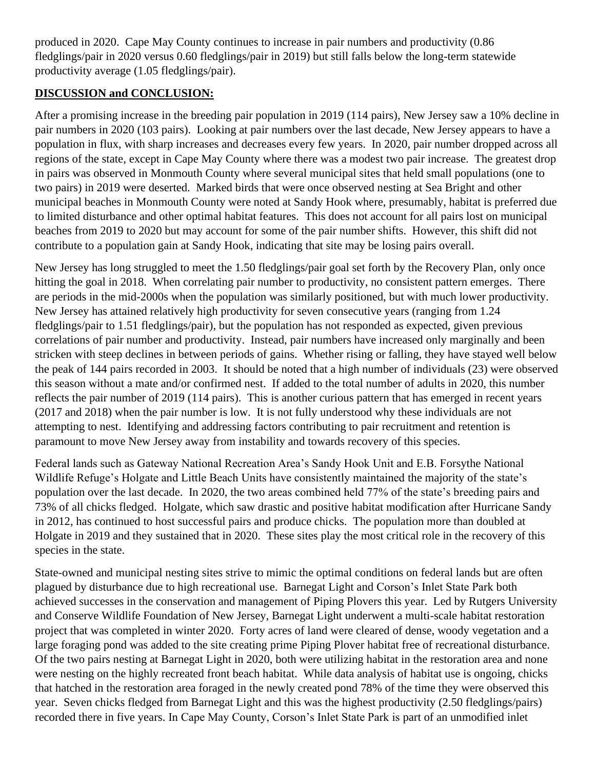produced in 2020. Cape May County continues to increase in pair numbers and productivity (0.86 fledglings/pair in 2020 versus 0.60 fledglings/pair in 2019) but still falls below the long-term statewide productivity average (1.05 fledglings/pair).

## **DISCUSSION and CONCLUSION:**

After a promising increase in the breeding pair population in 2019 (114 pairs), New Jersey saw a 10% decline in pair numbers in 2020 (103 pairs). Looking at pair numbers over the last decade, New Jersey appears to have a population in flux, with sharp increases and decreases every few years. In 2020, pair number dropped across all regions of the state, except in Cape May County where there was a modest two pair increase. The greatest drop in pairs was observed in Monmouth County where several municipal sites that held small populations (one to two pairs) in 2019 were deserted. Marked birds that were once observed nesting at Sea Bright and other municipal beaches in Monmouth County were noted at Sandy Hook where, presumably, habitat is preferred due to limited disturbance and other optimal habitat features. This does not account for all pairs lost on municipal beaches from 2019 to 2020 but may account for some of the pair number shifts. However, this shift did not contribute to a population gain at Sandy Hook, indicating that site may be losing pairs overall.

New Jersey has long struggled to meet the 1.50 fledglings/pair goal set forth by the Recovery Plan, only once hitting the goal in 2018. When correlating pair number to productivity, no consistent pattern emerges. There are periods in the mid-2000s when the population was similarly positioned, but with much lower productivity. New Jersey has attained relatively high productivity for seven consecutive years (ranging from 1.24 fledglings/pair to 1.51 fledglings/pair), but the population has not responded as expected, given previous correlations of pair number and productivity. Instead, pair numbers have increased only marginally and been stricken with steep declines in between periods of gains. Whether rising or falling, they have stayed well below the peak of 144 pairs recorded in 2003. It should be noted that a high number of individuals (23) were observed this season without a mate and/or confirmed nest. If added to the total number of adults in 2020, this number reflects the pair number of 2019 (114 pairs). This is another curious pattern that has emerged in recent years (2017 and 2018) when the pair number is low. It is not fully understood why these individuals are not attempting to nest. Identifying and addressing factors contributing to pair recruitment and retention is paramount to move New Jersey away from instability and towards recovery of this species.

Federal lands such as Gateway National Recreation Area's Sandy Hook Unit and E.B. Forsythe National Wildlife Refuge's Holgate and Little Beach Units have consistently maintained the majority of the state's population over the last decade. In 2020, the two areas combined held 77% of the state's breeding pairs and 73% of all chicks fledged. Holgate, which saw drastic and positive habitat modification after Hurricane Sandy in 2012, has continued to host successful pairs and produce chicks. The population more than doubled at Holgate in 2019 and they sustained that in 2020. These sites play the most critical role in the recovery of this species in the state.

State-owned and municipal nesting sites strive to mimic the optimal conditions on federal lands but are often plagued by disturbance due to high recreational use. Barnegat Light and Corson's Inlet State Park both achieved successes in the conservation and management of Piping Plovers this year. Led by Rutgers University and Conserve Wildlife Foundation of New Jersey, Barnegat Light underwent a multi-scale habitat restoration project that was completed in winter 2020. Forty acres of land were cleared of dense, woody vegetation and a large foraging pond was added to the site creating prime Piping Plover habitat free of recreational disturbance. Of the two pairs nesting at Barnegat Light in 2020, both were utilizing habitat in the restoration area and none were nesting on the highly recreated front beach habitat. While data analysis of habitat use is ongoing, chicks that hatched in the restoration area foraged in the newly created pond 78% of the time they were observed this year. Seven chicks fledged from Barnegat Light and this was the highest productivity (2.50 fledglings/pairs) recorded there in five years. In Cape May County, Corson's Inlet State Park is part of an unmodified inlet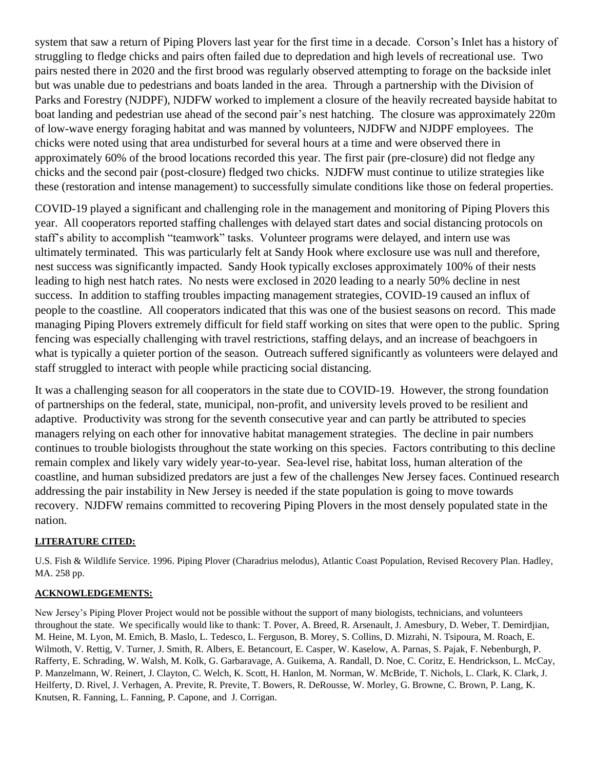system that saw a return of Piping Plovers last year for the first time in a decade. Corson's Inlet has a history of struggling to fledge chicks and pairs often failed due to depredation and high levels of recreational use. Two pairs nested there in 2020 and the first brood was regularly observed attempting to forage on the backside inlet but was unable due to pedestrians and boats landed in the area. Through a partnership with the Division of Parks and Forestry (NJDPF), NJDFW worked to implement a closure of the heavily recreated bayside habitat to boat landing and pedestrian use ahead of the second pair's nest hatching. The closure was approximately 220m of low-wave energy foraging habitat and was manned by volunteers, NJDFW and NJDPF employees. The chicks were noted using that area undisturbed for several hours at a time and were observed there in approximately 60% of the brood locations recorded this year. The first pair (pre-closure) did not fledge any chicks and the second pair (post-closure) fledged two chicks. NJDFW must continue to utilize strategies like these (restoration and intense management) to successfully simulate conditions like those on federal properties.

COVID-19 played a significant and challenging role in the management and monitoring of Piping Plovers this year. All cooperators reported staffing challenges with delayed start dates and social distancing protocols on staff's ability to accomplish "teamwork" tasks. Volunteer programs were delayed, and intern use was ultimately terminated. This was particularly felt at Sandy Hook where exclosure use was null and therefore, nest success was significantly impacted. Sandy Hook typically excloses approximately 100% of their nests leading to high nest hatch rates. No nests were exclosed in 2020 leading to a nearly 50% decline in nest success. In addition to staffing troubles impacting management strategies, COVID-19 caused an influx of people to the coastline. All cooperators indicated that this was one of the busiest seasons on record. This made managing Piping Plovers extremely difficult for field staff working on sites that were open to the public. Spring fencing was especially challenging with travel restrictions, staffing delays, and an increase of beachgoers in what is typically a quieter portion of the season. Outreach suffered significantly as volunteers were delayed and staff struggled to interact with people while practicing social distancing.

It was a challenging season for all cooperators in the state due to COVID-19. However, the strong foundation of partnerships on the federal, state, municipal, non-profit, and university levels proved to be resilient and adaptive. Productivity was strong for the seventh consecutive year and can partly be attributed to species managers relying on each other for innovative habitat management strategies. The decline in pair numbers continues to trouble biologists throughout the state working on this species. Factors contributing to this decline remain complex and likely vary widely year-to-year. Sea-level rise, habitat loss, human alteration of the coastline, and human subsidized predators are just a few of the challenges New Jersey faces. Continued research addressing the pair instability in New Jersey is needed if the state population is going to move towards recovery. NJDFW remains committed to recovering Piping Plovers in the most densely populated state in the nation.

#### **LITERATURE CITED:**

U.S. Fish & Wildlife Service. 1996. Piping Plover (Charadrius melodus), Atlantic Coast Population, Revised Recovery Plan. Hadley, MA. 258 pp.

#### **ACKNOWLEDGEMENTS:**

New Jersey's Piping Plover Project would not be possible without the support of many biologists, technicians, and volunteers throughout the state. We specifically would like to thank: T. Pover, A. Breed, R. Arsenault, J. Amesbury, D. Weber, T. Demirdjian, M. Heine, M. Lyon, M. Emich, B. Maslo, L. Tedesco, L. Ferguson, B. Morey, S. Collins, D. Mizrahi, N. Tsipoura, M. Roach, E. Wilmoth, V. Rettig, V. Turner, J. Smith, R. Albers, E. Betancourt, E. Casper, W. Kaselow, A. Parnas, S. Pajak, F. Nebenburgh, P. Rafferty, E. Schrading, W. Walsh, M. Kolk, G. Garbaravage, A. Guikema, A. Randall, D. Noe, C. Coritz, E. Hendrickson, L. McCay, P. Manzelmann, W. Reinert, J. Clayton, C. Welch, K. Scott, H. Hanlon, M. Norman, W. McBride, T. Nichols, L. Clark, K. Clark, J. Heilferty, D. Rivel, J. Verhagen, A. Previte, R. Previte, T. Bowers, R. DeRousse, W. Morley, G. Browne, C. Brown, P. Lang, K. Knutsen, R. Fanning, L. Fanning, P. Capone, and J. Corrigan.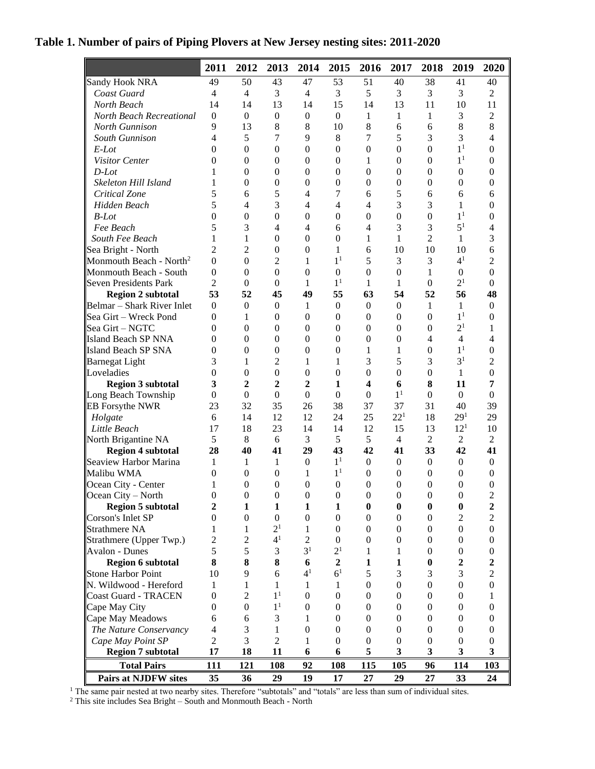|  |  | Table 1. Number of pairs of Piping Plovers at New Jersey nesting sites: 2011-2020 |  |  |
|--|--|-----------------------------------------------------------------------------------|--|--|
|  |  |                                                                                   |  |  |

|                                     | 2011             | 2012             | 2013             | 2014             | 2015             | 2016             | 2017             | 2018             | 2019             | 2020             |
|-------------------------------------|------------------|------------------|------------------|------------------|------------------|------------------|------------------|------------------|------------------|------------------|
| Sandy Hook NRA                      | 49               | 50               | 43               | 47               | 53               | 51               | 40               | 38               | 41               | 40               |
| Coast Guard                         | $\overline{4}$   | 4                | 3                | 4                | 3                | 5                | 3                | 3                | 3                | $\overline{2}$   |
| North Beach                         | 14               | 14               | 13               | 14               | 15               | 14               | 13               | 11               | 10               | 11               |
| <b>North Beach Recreational</b>     | $\Omega$         | $\boldsymbol{0}$ | $\boldsymbol{0}$ | $\boldsymbol{0}$ | $\boldsymbol{0}$ | 1                | 1                | 1                | 3                | $\overline{2}$   |
| North Gunnison                      | 9                | 13               | 8                | 8                | 10               | 8                | 6                | 6                | $8\,$            | 8                |
| South Gunnison                      | $\overline{4}$   | 5                | 7                | 9                | $8\,$            | 7                | 5                | 3                | 3                | $\overline{4}$   |
| $E$ -Lot                            | $\Omega$         | $\boldsymbol{0}$ | $\boldsymbol{0}$ | $\boldsymbol{0}$ | $\boldsymbol{0}$ | $\boldsymbol{0}$ | $\boldsymbol{0}$ | $\mathbf{0}$     | 1 <sup>1</sup>   | $\boldsymbol{0}$ |
| Visitor Center                      | $\theta$         | $\boldsymbol{0}$ | $\boldsymbol{0}$ | $\boldsymbol{0}$ | $\boldsymbol{0}$ | 1                | $\boldsymbol{0}$ | $\boldsymbol{0}$ | 1 <sup>1</sup>   | $\boldsymbol{0}$ |
| $D$ -Lot                            | 1                | $\boldsymbol{0}$ | $\boldsymbol{0}$ | $\theta$         | $\mathbf{0}$     | $\boldsymbol{0}$ | $\theta$         | $\boldsymbol{0}$ | $\boldsymbol{0}$ | $\Omega$         |
| Skeleton Hill Island                | 1                | 0                | $\boldsymbol{0}$ | $\theta$         | $\mathbf{0}$     | $\boldsymbol{0}$ | $\theta$         | $\boldsymbol{0}$ | $\boldsymbol{0}$ | $\Omega$         |
| Critical Zone                       | 5                | 6                | 5                | 4                | 7                | 6                | 5                | 6                | 6                | 6                |
| Hidden Beach                        | 5                | $\overline{4}$   | 3                | 4                | $\overline{4}$   | 4                | 3                | 3                | 1                | 0                |
| $B$ -Lot                            | $\theta$         | $\boldsymbol{0}$ | $\boldsymbol{0}$ | $\theta$         | $\boldsymbol{0}$ | $\boldsymbol{0}$ | $\theta$         | $\boldsymbol{0}$ | 1 <sup>1</sup>   | $\boldsymbol{0}$ |
| Fee Beach                           | 5                | 3                | 4                | 4                | 6                | 4                | 3                | 3                | 5 <sup>1</sup>   | $\overline{4}$   |
| South Fee Beach                     | 1                | 1                | $\boldsymbol{0}$ | $\theta$         | $\theta$         | 1                | $\mathbf{1}$     | $\overline{2}$   | 1                | 3                |
| Sea Bright - North                  | 2                | $\overline{c}$   | $\boldsymbol{0}$ | $\theta$         | $\mathbf{1}$     | 6                | 10               | 10               | 10               | 6                |
| Monmouth Beach - North <sup>2</sup> | $\theta$         | $\boldsymbol{0}$ | 2                | 1                | 1 <sup>1</sup>   | 5                | 3                | 3                | 4 <sup>1</sup>   | $\overline{2}$   |
| Monmouth Beach - South              | $\Omega$         | $\boldsymbol{0}$ | $\boldsymbol{0}$ | $\mathbf{0}$     | $\boldsymbol{0}$ | $\overline{0}$   | $\theta$         | 1                | $\boldsymbol{0}$ | $\Omega$         |
| Seven Presidents Park               | $\overline{2}$   | $\mathbf{0}$     | $\boldsymbol{0}$ | $\mathbf{1}$     | 1 <sup>1</sup>   | $\mathbf{1}$     | $\mathbf{1}$     | $\mathbf{0}$     | 2 <sup>1</sup>   | $\Omega$         |
| <b>Region 2 subtotal</b>            | 53               | 52               | 45               | 49               | 55               | 63               | 54               | 52               | 56               | 48               |
| Belmar - Shark River Inlet          | $\Omega$         | $\boldsymbol{0}$ | $\boldsymbol{0}$ | 1                | $\boldsymbol{0}$ | $\mathbf{0}$     | $\theta$         | $\mathbf{1}$     | 1                | $\boldsymbol{0}$ |
| Sea Girt – Wreck Pond               | $\Omega$         | 1                | $\boldsymbol{0}$ | $\theta$         | $\mathbf{0}$     | $\boldsymbol{0}$ | $\theta$         | $\boldsymbol{0}$ | $1^{\rm 1}$      | $\boldsymbol{0}$ |
| Sea Girt - NGTC                     | $\Omega$         | $\boldsymbol{0}$ | $\overline{0}$   | $\theta$         | $\mathbf{0}$     | $\boldsymbol{0}$ | $\theta$         | $\boldsymbol{0}$ | 2 <sup>1</sup>   | 1                |
| <b>Island Beach SP NNA</b>          | $\Omega$         | $\boldsymbol{0}$ | $\boldsymbol{0}$ | $\theta$         | $\mathbf{0}$     | $\boldsymbol{0}$ | $\theta$         | $\overline{4}$   | $\overline{4}$   | $\overline{4}$   |
| Island Beach SP SNA                 | $\Omega$         | $\boldsymbol{0}$ | $\boldsymbol{0}$ | $\theta$         | $\mathbf{0}$     | $\mathbf 1$      | 1                | $\boldsymbol{0}$ | 1 <sup>1</sup>   | $\theta$         |
| <b>Barnegat Light</b>               | 3                | 1                | $\overline{2}$   | 1                | 1                | 3                | 5                | 3                | 3 <sup>1</sup>   | $\overline{c}$   |
| Loveladies                          | $\Omega$         | $\Omega$         | $\boldsymbol{0}$ | $\theta$         | $\theta$         | $\Omega$         | $\theta$         | $\boldsymbol{0}$ | 1                | $\Omega$         |
| <b>Region 3 subtotal</b>            | 3                | $\overline{2}$   | $\overline{2}$   | $\overline{2}$   | $\mathbf{1}$     | 4                | 6                | 8                | 11               | 7                |
| Long Beach Township                 | $\boldsymbol{0}$ | $\boldsymbol{0}$ | $\boldsymbol{0}$ | $\boldsymbol{0}$ | $\boldsymbol{0}$ | $\boldsymbol{0}$ | 1 <sup>1</sup>   | $\boldsymbol{0}$ | $\boldsymbol{0}$ | $\Omega$         |
| <b>EB</b> Forsythe NWR              | 23               | 32               | 35               | 26               | 38               | 37               | 37               | 31               | 40               | 39               |
| Holgate                             | 6                | 14               | 12               | 12               | 24               | 25               | $22^{1}$         | 18               | 29 <sup>1</sup>  | 29               |
| Little Beach                        | 17               | 18               | 23               | 14               | 14               | 12               | 15               | 13               | $12^{1}$         | 10               |
| North Brigantine NA                 | 5                | 8                | 6                | 3                | 5                | 5                | $\overline{4}$   | $\overline{2}$   | $\overline{c}$   | $\overline{2}$   |
| <b>Region 4 subtotal</b>            | 28               | 40               | 41               | 29               | 43               | 42               | 41               | 33               | 42               | 41               |
| Seaview Harbor Marina               | 1                | 1                | 1                | $\mathbf{0}$     | 1 <sup>1</sup>   | $\mathbf{0}$     | $\boldsymbol{0}$ | $\mathbf{0}$     | $\mathbf{0}$     | $\overline{0}$   |
| Malibu WMA                          | $\Omega$         | $\boldsymbol{0}$ | $\overline{0}$   | 1                | 1 <sup>1</sup>   | $\overline{0}$   | $\Omega$         | $\theta$         | $\theta$         | $\mathbf{0}$     |
| Ocean City - Center                 | 1                | $\theta$         | $\boldsymbol{0}$ | $\theta$         | $\theta$         | $\theta$         | $\theta$         | $\boldsymbol{0}$ | $\theta$         | $\theta$         |
| Ocean City – North                  | $\boldsymbol{0}$ | $\boldsymbol{0}$ | $\boldsymbol{0}$ | $\boldsymbol{0}$ | $\boldsymbol{0}$ | $\boldsymbol{0}$ | $\boldsymbol{0}$ | $\boldsymbol{0}$ | $\boldsymbol{0}$ | 2                |
| <b>Region 5 subtotal</b>            | 2                | 1                | 1                | 1                | 1                | $\boldsymbol{0}$ | $\bf{0}$         | $\bf{0}$         | $\boldsymbol{0}$ | $\overline{2}$   |
| Corson's Inlet SP                   | $\Omega$         | $\mathbf{0}$     | $\overline{0}$   | $\theta$         | $\overline{0}$   | $\boldsymbol{0}$ | 0                | $\mathbf{0}$     | 2                | $\overline{2}$   |
| <b>Strathmere NA</b>                | 1                | 1                | 2 <sup>1</sup>   | 1                | $\theta$         | $\boldsymbol{0}$ | 0                | $\mathbf{0}$     | $\boldsymbol{0}$ | $\boldsymbol{0}$ |
| Strathmere (Upper Twp.)             | $\mathfrak{2}$   | $\overline{c}$   | 4 <sup>1</sup>   | $\overline{2}$   | $\theta$         | $\boldsymbol{0}$ | $\mathbf{0}$     | $\mathbf{0}$     | $\boldsymbol{0}$ | $\boldsymbol{0}$ |
| <b>Avalon - Dunes</b>               | 5                | 5                | 3                | 3 <sup>1</sup>   | 2 <sup>1</sup>   | 1                | 1                | $\mathbf{0}$     | $\boldsymbol{0}$ | $\boldsymbol{0}$ |
| <b>Region 6 subtotal</b>            | 8                | 8                | 8                | 6                | $\overline{2}$   | $\mathbf{1}$     | $\mathbf{1}$     | $\bf{0}$         | $\mathbf{2}$     | $\overline{2}$   |
| <b>Stone Harbor Point</b>           | 10               | 9                | 6                | 4 <sup>1</sup>   | 6 <sup>1</sup>   | 5                | 3                | 3                | 3                | $\overline{2}$   |
| N. Wildwood - Hereford              | 1                | 1                | 1                | 1                | 1                | $\mathbf{0}$     | $\mathbf{0}$     | $\theta$         | $\theta$         | $\boldsymbol{0}$ |
| Coast Guard - TRACEN                | $\theta$         | $\overline{c}$   | 1 <sup>1</sup>   | $\boldsymbol{0}$ | $\mathbf{0}$     | $\boldsymbol{0}$ | $\mathbf{0}$     | $\theta$         | $\boldsymbol{0}$ | 1                |
| Cape May City                       | $\Omega$         | $\boldsymbol{0}$ | 1 <sup>1</sup>   | $\theta$         | $\theta$         | $\boldsymbol{0}$ | $\mathbf{0}$     | $\mathbf{0}$     | $\boldsymbol{0}$ | $\boldsymbol{0}$ |
| Cape May Meadows                    | 6                | 6                | 3                | 1                | $\theta$         | $\boldsymbol{0}$ | 0                | $\theta$         | $\boldsymbol{0}$ | 0                |
| The Nature Conservancy              | 4                | 3                | 1                | $\theta$         | $\theta$         | $\boldsymbol{0}$ | 0                | $\theta$         | $\boldsymbol{0}$ | 0                |
| Cape May Point SP                   | $\mathfrak{2}$   | 3                | $\mathfrak{2}$   | 1                | $\theta$         | $\boldsymbol{0}$ | $\mathbf{0}$     | $\boldsymbol{0}$ | $\boldsymbol{0}$ | 0                |
| <b>Region 7 subtotal</b>            | 17               | 18               | 11               | 6                | 6                | 5                | 3                | 3                | 3                | 3                |
| <b>Total Pairs</b>                  | 111              | 121              | 108              | 92               | 108              | 115              | 105              | 96               | 114              | 103              |
| <b>Pairs at NJDFW sites</b>         | 35               | 36               | 29               | 19               | 17               | 27               | 29               | 27               | 33               | 24               |

<sup>1</sup> The same pair nested at two nearby sites. Therefore "subtotals" and "totals" are less than sum of individual sites.

 $2$  This site includes Sea Bright – South and Monmouth Beach - North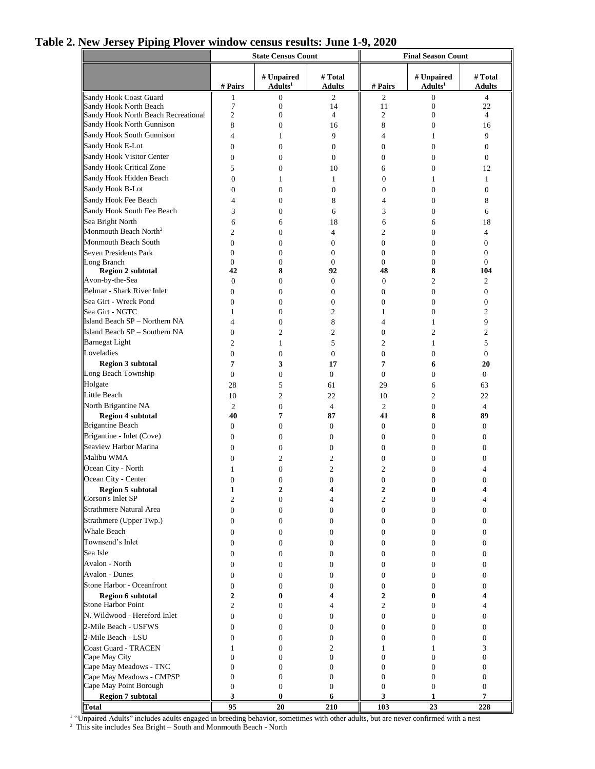# **Table 2. New Jersey Piping Plover window census results: June 1-9, 2020**

|                                              | <b>State Census Count</b> |                                   |                            | <b>Final Season Count</b> |                                   |                          |  |
|----------------------------------------------|---------------------------|-----------------------------------|----------------------------|---------------------------|-----------------------------------|--------------------------|--|
|                                              | # Pairs                   | # Unpaired<br>Adults <sup>1</sup> | # Total<br><b>Adults</b>   | # Pairs                   | # Unpaired<br>Adults <sup>1</sup> | # Total<br><b>Adults</b> |  |
| Sandy Hook Coast Guard                       | 1                         | 0                                 | 2                          | $\mathfrak{2}$            | $\boldsymbol{0}$                  | 4                        |  |
| Sandy Hook North Beach                       | $\overline{7}$            | $\mathbf{0}$                      | 14                         | 11                        | $\boldsymbol{0}$                  | 22                       |  |
| Sandy Hook North Beach Recreational          | $\overline{2}$            | $\mathbf{0}$                      | 4                          | $\mathfrak{2}$            | $\mathbf{0}$                      | $\overline{4}$           |  |
| Sandy Hook North Gunnison                    | 8                         | $\mathbf{0}$                      | 16                         | 8                         | $\mathbf{0}$                      | 16                       |  |
| Sandy Hook South Gunnison                    | $\overline{4}$            | 1                                 | 9                          | $\overline{4}$            | $\mathbf{1}$                      | 9                        |  |
| Sandy Hook E-Lot                             | $\boldsymbol{0}$          | $\overline{0}$                    | 0                          | $\boldsymbol{0}$          | $\mathbf{0}$                      | $\boldsymbol{0}$         |  |
| Sandy Hook Visitor Center                    | $\overline{0}$            | $\mathbf{0}$                      | 0                          | $\mathbf{0}$              | $\mathbf{0}$                      | $\mathbf{0}$             |  |
| Sandy Hook Critical Zone                     | 5                         | $\Omega$                          | 10                         | 6                         | $\mathbf{0}$                      | 12                       |  |
| Sandy Hook Hidden Beach                      | $\boldsymbol{0}$          | 1                                 | $\mathbf{1}$               | $\boldsymbol{0}$          | 1                                 | 1                        |  |
| Sandy Hook B-Lot                             | $\mathbf{0}$              | $\mathbf{0}$                      | $\overline{0}$             | $\mathbf{0}$              | $\mathbf{0}$                      | $\mathbf{0}$             |  |
| Sandy Hook Fee Beach                         | 4                         | $\mathbf{0}$                      | 8                          | $\overline{4}$            | $\mathbf{0}$                      | 8                        |  |
| Sandy Hook South Fee Beach                   | 3                         | $\mathbf{0}$                      | 6                          | 3                         | $\mathbf{0}$                      | 6                        |  |
| Sea Bright North                             | 6                         | 6                                 | 18                         | 6                         | 6                                 | 18                       |  |
| Monmouth Beach North <sup>2</sup>            | $\overline{2}$            | $\theta$                          | 4                          | $\overline{c}$            | $\Omega$                          | $\overline{4}$           |  |
| Monmouth Beach South                         | $\boldsymbol{0}$          | $\mathbf{0}$                      | $\overline{0}$             | $\mathbf{0}$              | $\mathbf{0}$                      | $\mathbf{0}$             |  |
| <b>Seven Presidents Park</b>                 | $\mathbf{0}$              | $\mathbf{0}$                      | $\overline{0}$             | $\mathbf{0}$              | $\mathbf{0}$                      | $\mathbf{0}$             |  |
| Long Branch                                  | $\mathbf{0}$              | $\mathbf{0}$                      | $\overline{0}$             | $\mathbf{0}$              | $\mathbf{0}$                      | $\Omega$                 |  |
| Region 2 subtotal                            | 42                        | 8                                 | 92                         | 48                        | 8                                 | 104                      |  |
| Avon-by-the-Sea                              | $\theta$                  | $\mathbf{0}$                      | $\overline{0}$             | $\mathbf{0}$              | $\overline{c}$                    | 2                        |  |
| Belmar - Shark River Inlet                   | $\overline{0}$            | $\mathbf{0}$                      | $\mathbf{0}$               | $\mathbf{0}$              | $\mathbf{0}$                      | $\mathbf{0}$             |  |
| Sea Girt - Wreck Pond                        | $\overline{0}$            | $\mathbf{0}$                      | $\mathbf{0}$               | $\mathbf{0}$              | $\Omega$                          | $\mathbf{0}$             |  |
| Sea Girt - NGTC                              | 1                         | $\mathbf{0}$                      | $\overline{c}$             | 1                         | $\mathbf{0}$                      | $\overline{c}$           |  |
| Island Beach SP - Northern NA                | $\overline{4}$            | $\mathbf{0}$                      | 8                          | 4                         | 1                                 | 9                        |  |
| Island Beach SP - Southern NA                | $\overline{0}$            | $\overline{c}$                    | $\overline{2}$             | $\overline{0}$            | $\overline{c}$                    | $\overline{c}$           |  |
| <b>Barnegat Light</b>                        | $\overline{2}$            | 1                                 | 5                          | $\mathfrak{2}$            | 1                                 | 5                        |  |
| Loveladies                                   | $\mathbf{0}$              | $\mathbf{0}$                      | $\overline{0}$             | $\mathbf{0}$              | $\mathbf{0}$                      | $\mathbf{0}$             |  |
| <b>Region 3 subtotal</b>                     | 7                         | 3                                 | 17                         | 7                         | 6                                 | 20                       |  |
| Long Beach Township                          | $\overline{0}$            | $\mathbf{0}$                      | $\overline{0}$             | $\boldsymbol{0}$          | $\mathbf{0}$                      | $\overline{0}$           |  |
| Holgate                                      | 28                        | 5                                 | 61                         | 29                        | 6                                 | 63                       |  |
| Little Beach                                 | 10                        | $\overline{2}$                    | 22                         | 10                        | $\overline{c}$                    | 22                       |  |
| North Brigantine NA                          | $\overline{c}$            | $\mathbf{0}$                      | $\overline{4}$             | $\overline{2}$            | $\mathbf{0}$                      | $\overline{4}$           |  |
| <b>Region 4 subtotal</b>                     | 40                        | 7                                 | 87                         | 41                        | 8                                 | 89                       |  |
| <b>Brigantine Beach</b>                      | $\mathbf{0}$              | $\overline{0}$                    | $\overline{0}$             | $\boldsymbol{0}$          | $\mathbf{0}$                      | $\overline{0}$           |  |
| Brigantine - Inlet (Cove)                    | $\mathbf{0}$              | $\mathbf{0}$                      | $\overline{0}$             | $\boldsymbol{0}$          | $\mathbf{0}$                      | $\mathbf{0}$             |  |
| Seaview Harbor Marina                        | $\overline{0}$            | $\Omega$                          | $\Omega$                   | $\mathbf{0}$              | $\mathbf{0}$                      | $\Omega$                 |  |
| Malibu WMA                                   | $\mathbf{0}$              | 2                                 | 2                          | $\boldsymbol{0}$          | $\mathbf{0}$                      | $\mathbf{0}$             |  |
| Ocean City - North                           | 1                         | $\overline{0}$                    | $\overline{c}$             | 2                         | $\mathbf{0}$                      | 4                        |  |
| Ocean City - Center                          | $\overline{0}$            | $\overline{0}$                    | $\overline{0}$             | $\overline{0}$            | $\mathbf{0}$                      | $\Omega$                 |  |
| <b>Region 5 subtotal</b>                     | 1                         | 2                                 | 4                          | 2                         | 0                                 | 4                        |  |
| Corson's Inlet SP                            | $\overline{c}$            | $\mathbf{0}$                      | 4                          | 2                         | $\mathbf{0}$                      | $\overline{4}$           |  |
| <b>Strathmere Natural Area</b>               | $\boldsymbol{0}$          | $\mathbf{0}$                      | $\overline{0}$             | $\boldsymbol{0}$          | $\mathbf{0}$                      | $\mathbf{0}$             |  |
| Strathmere (Upper Twp.)                      | $\boldsymbol{0}$          | 0                                 | $\overline{0}$             | $\boldsymbol{0}$          | $\mathbf{0}$                      | $\boldsymbol{0}$         |  |
| <b>Whale Beach</b>                           | $\boldsymbol{0}$          | $\mathbf{0}$                      | $\overline{0}$             | $\boldsymbol{0}$          | $\mathbf{0}$                      | $\mathbf{0}$             |  |
| Townsend's Inlet                             | $\boldsymbol{0}$          | $\mathbf{0}$                      | $\overline{0}$             | $\boldsymbol{0}$          | $\mathbf{0}$                      | $\mathbf{0}$             |  |
| Sea Isle                                     | $\mathbf{0}$              | $\mathbf{0}$                      | $\overline{0}$             | $\mathbf{0}$              | $\mathbf{0}$                      | $\mathbf{0}$             |  |
| <b>Avalon - North</b>                        | $\mathbf{0}$              | $\mathbf{0}$                      | $\overline{0}$             | 0                         | $\mathbf{0}$                      | $\mathbf{0}$             |  |
| <b>Avalon - Dunes</b>                        | $\mathbf{0}$              | $\mathbf{0}$                      | $\overline{0}$             | $\mathbf{0}$              | $\mathbf{0}$                      | $\mathbf{0}$             |  |
| Stone Harbor - Oceanfront                    | $\boldsymbol{0}$          | $\mathbf{0}$                      | $\overline{0}$             | $\boldsymbol{0}$          | $\mathbf{0}$                      | $\mathbf{0}$             |  |
| <b>Region 6 subtotal</b>                     | $\overline{2}$            | $\bf{0}$                          | 4                          | $\overline{2}$            | $\bf{0}$                          | 4                        |  |
| <b>Stone Harbor Point</b>                    | $\overline{2}$            | $\mathbf{0}$                      | 4                          | 2                         | $\mathbf{0}$                      | 4                        |  |
| N. Wildwood - Hereford Inlet                 | $\mathbf{0}$              | $\mathbf{0}$                      | $\overline{0}$             | $\mathbf{0}$              | $\mathbf{0}$                      | $\mathbf{0}$             |  |
| 2-Mile Beach - USFWS                         | $\boldsymbol{0}$          | 0                                 | $\mathbf{0}$               | 0                         | $\mathbf{0}$                      | $\mathbf{0}$             |  |
| 2-Mile Beach - LSU                           |                           |                                   |                            |                           |                                   |                          |  |
|                                              | $\mathbf{0}$              | $\mathbf{0}$                      | $\overline{0}$             | $\mathbf{0}$              | $\mathbf{0}$                      | $\mathbf{0}$             |  |
| <b>Coast Guard - TRACEN</b><br>Cape May City | 1<br>$\overline{0}$       | $\mathbf{0}$<br>$\Omega$          | $\overline{2}$<br>$\Omega$ | 1<br>$\theta$             | 1<br>$\Omega$                     | 3<br>$\Omega$            |  |
| Cape May Meadows - TNC                       | $\overline{0}$            | $\mathbf{0}$                      | $\overline{0}$             | $\mathbf{0}$              | $\mathbf{0}$                      | $\boldsymbol{0}$         |  |
| Cape May Meadows - CMPSP                     | $\boldsymbol{0}$          | $\boldsymbol{0}$                  | $\mathbf{0}$               | $\boldsymbol{0}$          | $\mathbf{0}$                      | $\boldsymbol{0}$         |  |
| Cape May Point Borough                       | $\overline{0}$            | $\mathbf{0}$                      | $\mathbf{0}$               | $\mathbf{0}$              | $\mathbf{0}$                      | $\mathbf{0}$             |  |
| <b>Region 7 subtotal</b>                     | 3                         | $\bf{0}$                          | 6                          | 3                         | 1                                 | 7                        |  |
| <b>Total</b>                                 | 95                        | 20                                | 210                        | 103                       | 23                                | 228                      |  |

**Total 95 20 210 103 23 228** 1 "Unpaired Adults" includes adults engaged in breeding behavior, sometimes with other adults, but are never confirmed with a nest

 $2$  This site includes Sea Bright – South and Monmouth Beach - North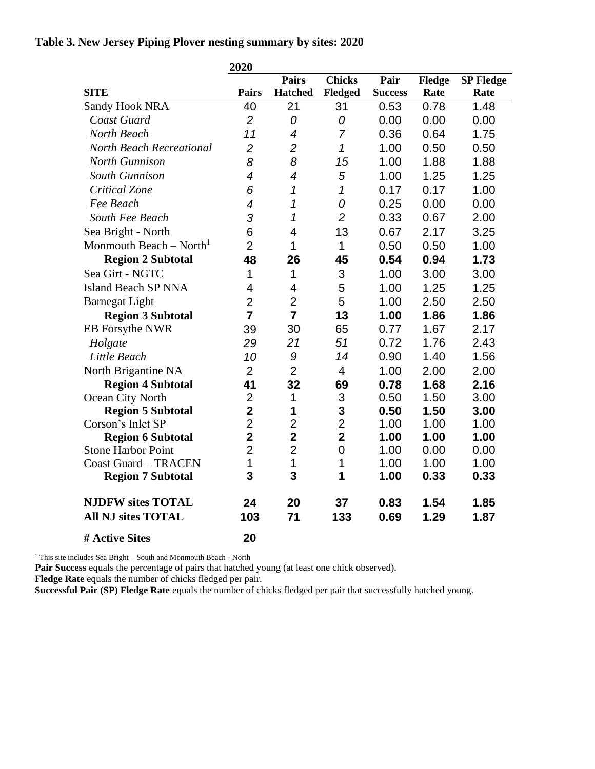### **Table 3. New Jersey Piping Plover nesting summary by sites: 2020**

|                                     | 2020                     |                          |                |                |        |                  |
|-------------------------------------|--------------------------|--------------------------|----------------|----------------|--------|------------------|
|                                     |                          | <b>Pairs</b>             | <b>Chicks</b>  | Pair           | Fledge | <b>SP Fledge</b> |
| <b>SITE</b>                         | <b>Pairs</b>             | <b>Hatched</b>           | <b>Fledged</b> | <b>Success</b> | Rate   | Rate             |
| <b>Sandy Hook NRA</b>               | 40                       | 21                       | 31             | 0.53           | 0.78   | 1.48             |
| Coast Guard                         | $\overline{2}$           | 0                        | 0              | 0.00           | 0.00   | 0.00             |
| North Beach                         | 11                       | $\overline{4}$           | $\overline{7}$ | 0.36           | 0.64   | 1.75             |
| <b>North Beach Recreational</b>     | $\overline{2}$           | $\overline{2}$           | $\mathcal I$   | 1.00           | 0.50   | 0.50             |
| <b>North Gunnison</b>               | 8                        | 8                        | 15             | 1.00           | 1.88   | 1.88             |
| <b>South Gunnison</b>               | $\overline{\mathcal{A}}$ | $\overline{\mathcal{A}}$ | 5              | 1.00           | 1.25   | 1.25             |
| <b>Critical Zone</b>                | 6                        | 1                        | 1              | 0.17           | 0.17   | 1.00             |
| Fee Beach                           | $\overline{4}$           | 1                        | 0              | 0.25           | 0.00   | 0.00             |
| South Fee Beach                     | 3                        | 1                        | $\overline{2}$ | 0.33           | 0.67   | 2.00             |
| Sea Bright - North                  | 6                        | $\overline{4}$           | 13             | 0.67           | 2.17   | 3.25             |
| Monmouth Beach – North <sup>1</sup> | $\overline{2}$           | 1                        | 1              | 0.50           | 0.50   | 1.00             |
| <b>Region 2 Subtotal</b>            | 48                       | 26                       | 45             | 0.54           | 0.94   | 1.73             |
| Sea Girt - NGTC                     | $\mathbf 1$              | 1                        | 3              | 1.00           | 3.00   | 3.00             |
| <b>Island Beach SP NNA</b>          | $\overline{4}$           | $\overline{4}$           | 5              | 1.00           | 1.25   | 1.25             |
| <b>Barnegat Light</b>               | $\overline{2}$           | $\overline{2}$           | 5              | 1.00           | 2.50   | 2.50             |
| <b>Region 3 Subtotal</b>            | $\overline{7}$           | $\overline{7}$           | 13             | 1.00           | 1.86   | 1.86             |
| EB Forsythe NWR                     | 39                       | 30                       | 65             | 0.77           | 1.67   | 2.17             |
| Holgate                             | 29                       | 21                       | 51             | 0.72           | 1.76   | 2.43             |
| Little Beach                        | 10                       | 9                        | 14             | 0.90           | 1.40   | 1.56             |
| North Brigantine NA                 | $\overline{2}$           | $\overline{2}$           | $\overline{4}$ | 1.00           | 2.00   | 2.00             |
| <b>Region 4 Subtotal</b>            | 41                       | 32                       | 69             | 0.78           | 1.68   | 2.16             |
| Ocean City North                    | $\overline{2}$           | 1                        | 3              | 0.50           | 1.50   | 3.00             |
| <b>Region 5 Subtotal</b>            | $\overline{\mathbf{2}}$  | 1                        | 3              | 0.50           | 1.50   | 3.00             |
| Corson's Inlet SP                   | $\overline{2}$           | $\overline{2}$           | $\overline{2}$ | 1.00           | 1.00   | 1.00             |
| <b>Region 6 Subtotal</b>            | $\overline{2}$           | $\overline{2}$           | $\overline{2}$ | 1.00           | 1.00   | 1.00             |
| <b>Stone Harbor Point</b>           | $\overline{2}$           | $\overline{2}$           | $\overline{0}$ | 1.00           | 0.00   | 0.00             |
| <b>Coast Guard - TRACEN</b>         | 1                        | 1                        | 1              | 1.00           | 1.00   | 1.00             |
| <b>Region 7 Subtotal</b>            | 3                        | 3                        | 1              | 1.00           | 0.33   | 0.33             |
| <b>NJDFW sites TOTAL</b>            | 24                       | 20                       | 37             | 0.83           | 1.54   | 1.85             |
| <b>All NJ sites TOTAL</b>           | 103                      | 71                       | 133            | 0.69           | 1.29   | 1.87             |
| # Active Sites                      | 20                       |                          |                |                |        |                  |

<sup>1</sup> This site includes Sea Bright – South and Monmouth Beach - North

**Pair Success** equals the percentage of pairs that hatched young (at least one chick observed).

Fledge Rate equals the number of chicks fledged per pair.

**Successful Pair (SP) Fledge Rate** equals the number of chicks fledged per pair that successfully hatched young.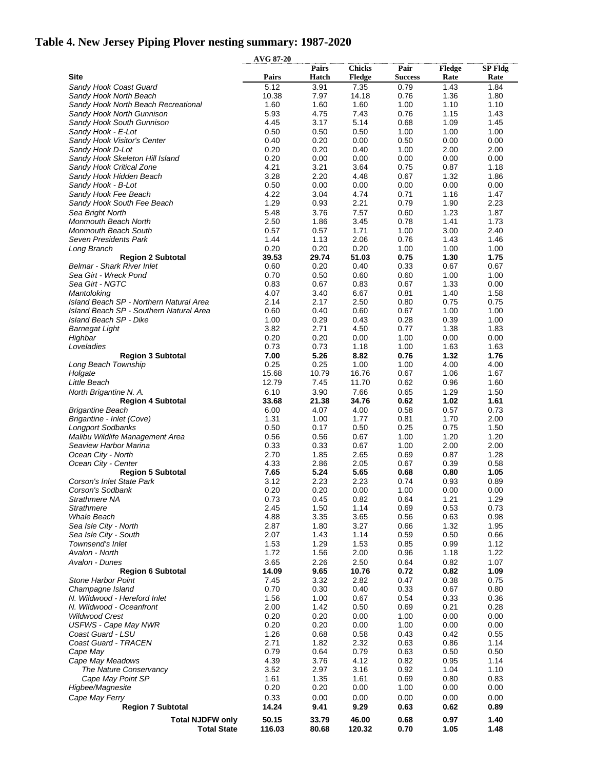# **Table 4. New Jersey Piping Plover nesting summary: 1987-2020**

|                                                               | <b>AVG 87-20</b> |                |                 |                |              |              |
|---------------------------------------------------------------|------------------|----------------|-----------------|----------------|--------------|--------------|
|                                                               |                  | Pairs          | <b>Chicks</b>   | Pair           | Fledge       | SP Fldg      |
| Site                                                          | Pairs            | Hatch          | Fledge          | <b>Success</b> | Rate         | Rate         |
| Sandy Hook Coast Guard                                        | 5.12<br>10.38    | 3.91<br>7.97   | 7.35<br>14.18   | 0.79<br>0.76   | 1.43<br>1.36 | 1.84<br>1.80 |
| Sandy Hook North Beach<br>Sandy Hook North Beach Recreational | 1.60             | 1.60           | 1.60            | 1.00           | 1.10         | 1.10         |
| Sandy Hook North Gunnison                                     | 5.93             | 4.75           | 7.43            | 0.76           | 1.15         | 1.43         |
| Sandy Hook South Gunnison                                     | 4.45             | 3.17           | 5.14            | 0.68           | 1.09         | 1.45         |
| Sandy Hook - E-Lot                                            | 0.50             | 0.50           | 0.50            | 1.00           | 1.00         | 1.00         |
| Sandy Hook Visitor's Center                                   | 0.40             | 0.20           | 0.00            | 0.50           | 0.00         | 0.00         |
| Sandy Hook D-Lot                                              | 0.20<br>0.20     | 0.20<br>0.00   | 0.40            | 1.00<br>0.00   | 2.00<br>0.00 | 2.00<br>0.00 |
| Sandy Hook Skeleton Hill Island<br>Sandy Hook Critical Zone   | 4.21             | 3.21           | 0.00<br>3.64    | 0.75           | 0.87         | 1.18         |
| Sandy Hook Hidden Beach                                       | 3.28             | 2.20           | 4.48            | 0.67           | 1.32         | 1.86         |
| Sandy Hook - B-Lot                                            | 0.50             | 0.00           | 0.00            | 0.00           | 0.00         | 0.00         |
| Sandy Hook Fee Beach                                          | 4.22             | 3.04           | 4.74            | 0.71           | 1.16         | 1.47         |
| Sandy Hook South Fee Beach                                    | 1.29             | 0.93           | 2.21            | 0.79           | 1.90         | 2.23         |
| Sea Bright North                                              | 5.48             | 3.76           | 7.57            | 0.60           | 1.23         | 1.87         |
| Monmouth Beach North<br>Monmouth Beach South                  | 2.50<br>0.57     | 1.86<br>0.57   | 3.45<br>1.71    | 0.78<br>1.00   | 1.41<br>3.00 | 1.73<br>2.40 |
| Seven Presidents Park                                         | 1.44             | 1.13           | 2.06            | 0.76           | 1.43         | 1.46         |
| Long Branch                                                   | 0.20             | 0.20           | 0.20            | 1.00           | 1.00         | 1.00         |
| <b>Region 2 Subtotal</b>                                      | 39.53            | 29.74          | 51.03           | 0.75           | 1.30         | 1.75         |
| <b>Belmar - Shark River Inlet</b>                             | 0.60             | 0.20           | 0.40            | 0.33           | 0.67         | 0.67         |
| Sea Girt - Wreck Pond                                         | 0.70             | 0.50           | 0.60            | 0.60           | 1.00         | 1.00         |
| Sea Girt - NGTC<br>Mantoloking                                | 0.83<br>4.07     | 0.67<br>3.40   | 0.83<br>6.67    | 0.67<br>0.81   | 1.33<br>1.40 | 0.00<br>1.58 |
| Island Beach SP - Northern Natural Area                       | 2.14             | 2.17           | 2.50            | 0.80           | 0.75         | 0.75         |
| Island Beach SP - Southern Natural Area                       | 0.60             | 0.40           | 0.60            | 0.67           | 1.00         | 1.00         |
| Island Beach SP - Dike                                        | 1.00             | 0.29           | 0.43            | 0.28           | 0.39         | 1.00         |
| <b>Barnegat Light</b>                                         | 3.82             | 2.71           | 4.50            | 0.77           | 1.38         | 1.83         |
| Highbar                                                       | 0.20             | 0.20           | 0.00            | 1.00           | 0.00         | 0.00         |
| Loveladies<br><b>Region 3 Subtotal</b>                        | 0.73<br>7.00     | 0.73<br>5.26   | 1.18<br>8.82    | 1.00<br>0.76   | 1.63<br>1.32 | 1.63<br>1.76 |
| Long Beach Township                                           | 0.25             | 0.25           | 1.00            | 1.00           | 4.00         | 4.00         |
| Holgate                                                       | 15.68            | 10.79          | 16.76           | 0.67           | 1.06         | 1.67         |
| Little Beach                                                  | 12.79            | 7.45           | 11.70           | 0.62           | 0.96         | 1.60         |
| North Brigantine N. A.                                        | 6.10             | 3.90           | 7.66            | 0.65           | 1.29         | 1.50         |
| <b>Region 4 Subtotal</b>                                      | 33.68            | 21.38          | 34.76           | 0.62           | 1.02         | 1.61         |
| Brigantine Beach                                              | 6.00<br>1.31     | 4.07<br>1.00   | 4.00<br>1.77    | 0.58<br>0.81   | 0.57<br>1.70 | 0.73<br>2.00 |
| Brigantine - Inlet (Cove)<br><b>Longport Sodbanks</b>         | 0.50             | 0.17           | 0.50            | 0.25           | 0.75         | 1.50         |
| Malibu Wildlife Management Area                               | 0.56             | 0.56           | 0.67            | 1.00           | 1.20         | 1.20         |
| Seaview Harbor Marina                                         | 0.33             | 0.33           | 0.67            | 1.00           | 2.00         | 2.00         |
| Ocean City - North                                            | 2.70             | 1.85           | 2.65            | 0.69           | 0.87         | 1.28         |
| Ocean City - Center                                           | 4.33             | 2.86           | 2.05            | 0.67           | 0.39         | 0.58         |
| <b>Region 5 Subtotal</b><br>Corson's Inlet State Park         | 7.65<br>3.12     | 5.24<br>2.23   | 5.65<br>2.23    | 0.68<br>0.74   | 0.80<br>0.93 | 1.05<br>0.89 |
| Corson's Sodbank                                              | 0.20             | 0.20           | 0.00            | 1.00           | 0.00         | 0.00         |
| Strathmere NA                                                 | 0.73             | 0.45           | 0.82            | 0.64           | 1.21         | 1.29         |
| <b>Strathmere</b>                                             | 2.45             | 1.50           | 1.14            | 0.69           | 0.53         | 0.73         |
| <b>Whale Beach</b>                                            | 4.88             | 3.35           | 3.65            | 0.56           | 0.63         | 0.98         |
| Sea Isle City - North                                         | 2.87             | 1.80           | 3.27            | 0.66           | 1.32         | 1.95         |
| Sea Isle City - South<br>Townsend's Inlet                     | 2.07<br>1.53     | 1.43<br>1.29   | 1.14<br>1.53    | 0.59<br>0.85   | 0.50<br>0.99 | 0.66<br>1.12 |
| Avalon - North                                                | 1.72             | 1.56           | 2.00            | 0.96           | 1.18         | 1.22         |
| Avalon - Dunes                                                | 3.65             | 2.26           | 2.50            | 0.64           | 0.82         | 1.07         |
| <b>Region 6 Subtotal</b>                                      | 14.09            | 9.65           | 10.76           | 0.72           | 0.82         | 1.09         |
| <b>Stone Harbor Point</b>                                     | 7.45             | 3.32           | 2.82            | 0.47           | 0.38         | 0.75         |
| Champagne Island                                              | 0.70             | 0.30           | 0.40            | 0.33           | 0.67         | 0.80         |
| N. Wildwood - Hereford Inlet<br>N. Wildwood - Oceanfront      | 1.56<br>2.00     | 1.00<br>1.42   | 0.67<br>0.50    | 0.54<br>0.69   | 0.33<br>0.21 | 0.36<br>0.28 |
| <b>Wildwood Crest</b>                                         | 0.20             | 0.20           | 0.00            | 1.00           | 0.00         | 0.00         |
| <b>USFWS - Cape May NWR</b>                                   | 0.20             | 0.20           | 0.00            | 1.00           | 0.00         | 0.00         |
| Coast Guard - LSU                                             | 1.26             | 0.68           | 0.58            | 0.43           | 0.42         | 0.55         |
| Coast Guard - TRACEN                                          | 2.71             | 1.82           | 2.32            | 0.63           | 0.86         | 1.14         |
| Cape May                                                      | 0.79             | 0.64           | 0.79            | 0.63           | 0.50         | 0.50         |
| Cape May Meadows<br>The Nature Conservancy                    | 4.39<br>3.52     | 3.76<br>2.97   | 4.12<br>3.16    | 0.82<br>0.92   | 0.95<br>1.04 | 1.14<br>1.10 |
| Cape May Point SP                                             | 1.61             | 1.35           | 1.61            | 0.69           | 0.80         | 0.83         |
| Higbee/Magnesite                                              | 0.20             | 0.20           | 0.00            | 1.00           | 0.00         | 0.00         |
| Cape May Ferry                                                | 0.33             | 0.00           | 0.00            | 0.00           | 0.00         | 0.00         |
| <b>Region 7 Subtotal</b>                                      | 14.24            | 9.41           | 9.29            | 0.63           | 0.62         | 0.89         |
| <b>Total NJDFW only</b><br><b>Total State</b>                 | 50.15<br>116.03  | 33.79<br>80.68 | 46.00<br>120.32 | 0.68<br>0.70   | 0.97<br>1.05 | 1.40<br>1.48 |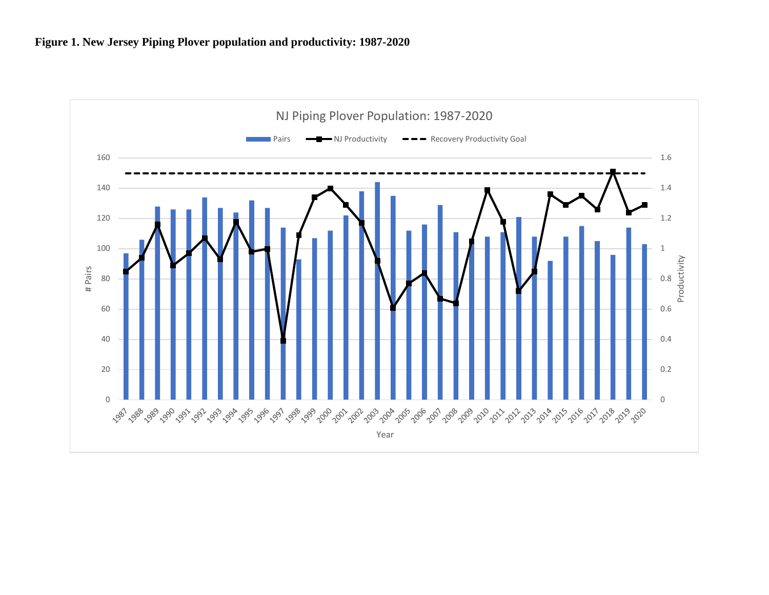